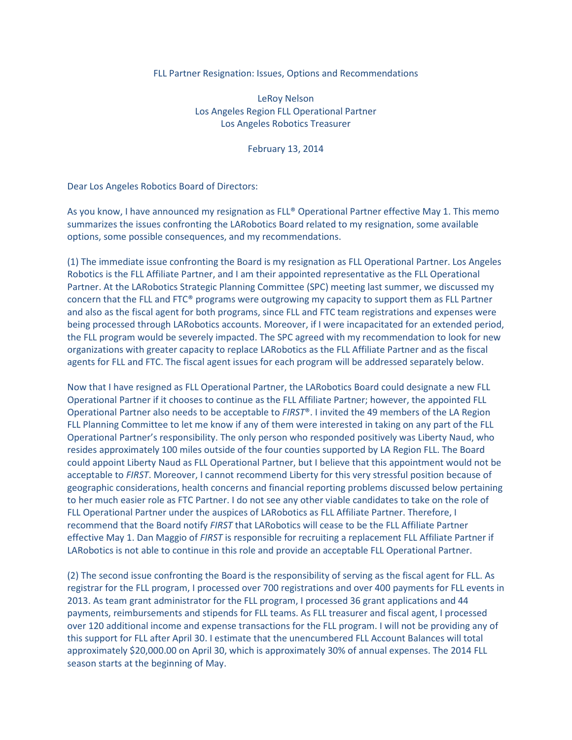## FLL Partner Resignation: Issues, Options and Recommendations

LeRoy Nelson Los Angeles Region FLL Operational Partner Los Angeles Robotics Treasurer

February 13, 2014

Dear Los Angeles Robotics Board of Directors:

As you know, I have announced my resignation as FLL® Operational Partner effective May 1. This memo summarizes the issues confronting the LARobotics Board related to my resignation, some available options, some possible consequences, and my recommendations.

(1) The immediate issue confronting the Board is my resignation as FLL Operational Partner. Los Angeles Robotics is the FLL Affiliate Partner, and I am their appointed representative as the FLL Operational Partner. At the LARobotics Strategic Planning Committee (SPC) meeting last summer, we discussed my concern that the FLL and FTC® programs were outgrowing my capacity to support them as FLL Partner and also as the fiscal agent for both programs, since FLL and FTC team registrations and expenses were being processed through LARobotics accounts. Moreover, if I were incapacitated for an extended period, the FLL program would be severely impacted. The SPC agreed with my recommendation to look for new organizations with greater capacity to replace LARobotics as the FLL Affiliate Partner and as the fiscal agents for FLL and FTC. The fiscal agent issues for each program will be addressed separately below.

Now that I have resigned as FLL Operational Partner, the LARobotics Board could designate a new FLL Operational Partner if it chooses to continue as the FLL Affiliate Partner; however, the appointed FLL Operational Partner also needs to be acceptable to  $FIRST^{\circ}$ . I invited the 49 members of the LA Region FLL Planning Committee to let me know if any of them were interested in taking on any part of the FLL Operational Partner's responsibility. The only person who responded positively was Liberty Naud, who resides approximately 100 miles outside of the four counties supported by LA Region FLL. The Board could appoint Liberty Naud as FLL Operational Partner, but I believe that this appointment would not be acceptable to FIRST. Moreover, I cannot recommend Liberty for this very stressful position because of geographic considerations, health concerns and financial reporting problems discussed below pertaining to her much easier role as FTC Partner. I do not see any other viable candidates to take on the role of FLL Operational Partner under the auspices of LARobotics as FLL Affiliate Partner. Therefore, I recommend that the Board notify FIRST that LARobotics will cease to be the FLL Affiliate Partner effective May 1. Dan Maggio of FIRST is responsible for recruiting a replacement FLL Affiliate Partner if LARobotics is not able to continue in this role and provide an acceptable FLL Operational Partner.

(2) The second issue confronting the Board is the responsibility of serving as the fiscal agent for FLL. As registrar for the FLL program, I processed over 700 registrations and over 400 payments for FLL events in 2013. As team grant administrator for the FLL program, I processed 36 grant applications and 44 payments, reimbursements and stipends for FLL teams. As FLL treasurer and fiscal agent, I processed over 120 additional income and expense transactions for the FLL program. I will not be providing any of this support for FLL after April 30. I estimate that the unencumbered FLL Account Balances will total approximately \$20,000.00 on April 30, which is approximately 30% of annual expenses. The 2014 FLL season starts at the beginning of May.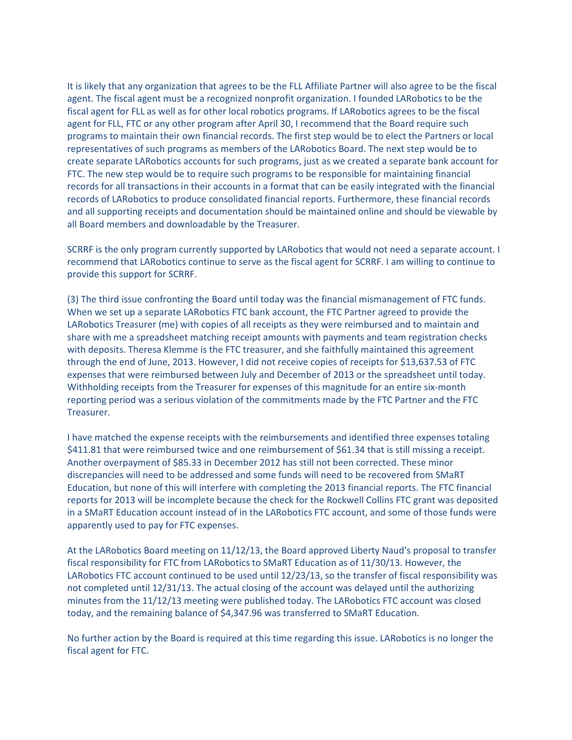It is likely that any organization that agrees to be the FLL Affiliate Partner will also agree to be the fiscal agent. The fiscal agent must be a recognized nonprofit organization. I founded LARobotics to be the fiscal agent for FLL as well as for other local robotics programs. If LARobotics agrees to be the fiscal agent for FLL, FTC or any other program after April 30, I recommend that the Board require such programs to maintain their own financial records. The first step would be to elect the Partners or local representatives of such programs as members of the LARobotics Board. The next step would be to create separate LARobotics accounts for such programs, just as we created a separate bank account for FTC. The new step would be to require such programs to be responsible for maintaining financial records for all transactions in their accounts in a format that can be easily integrated with the financial records of LARobotics to produce consolidated financial reports. Furthermore, these financial records and all supporting receipts and documentation should be maintained online and should be viewable by all Board members and downloadable by the Treasurer.

SCRRF is the only program currently supported by LARobotics that would not need a separate account. I recommend that LARobotics continue to serve as the fiscal agent for SCRRF. I am willing to continue to provide this support for SCRRF.

(3) The third issue confronting the Board until today was the financial mismanagement of FTC funds. When we set up a separate LARobotics FTC bank account, the FTC Partner agreed to provide the LARobotics Treasurer (me) with copies of all receipts as they were reimbursed and to maintain and share with me a spreadsheet matching receipt amounts with payments and team registration checks with deposits. Theresa Klemme is the FTC treasurer, and she faithfully maintained this agreement through the end of June, 2013. However, I did not receive copies of receipts for \$13,637.53 of FTC expenses that were reimbursed between July and December of 2013 or the spreadsheet until today. Withholding receipts from the Treasurer for expenses of this magnitude for an entire six-month reporting period was a serious violation of the commitments made by the FTC Partner and the FTC Treasurer.

I have matched the expense receipts with the reimbursements and identified three expenses totaling \$411.81 that were reimbursed twice and one reimbursement of \$61.34 that is still missing a receipt. Another overpayment of \$85.33 in December 2012 has still not been corrected. These minor discrepancies will need to be addressed and some funds will need to be recovered from SMaRT Education, but none of this will interfere with completing the 2013 financial reports. The FTC financial reports for 2013 will be incomplete because the check for the Rockwell Collins FTC grant was deposited in a SMaRT Education account instead of in the LARobotics FTC account, and some of those funds were apparently used to pay for FTC expenses.

At the LARobotics Board meeting on 11/12/13, the Board approved Liberty Naud's proposal to transfer fiscal responsibility for FTC from LARobotics to SMaRT Education as of 11/30/13. However, the LARobotics FTC account continued to be used until 12/23/13, so the transfer of fiscal responsibility was not completed until 12/31/13. The actual closing of the account was delayed until the authorizing minutes from the 11/12/13 meeting were published today. The LARobotics FTC account was closed today, and the remaining balance of \$4,347.96 was transferred to SMaRT Education.

No further action by the Board is required at this time regarding this issue. LARobotics is no longer the fiscal agent for FTC.